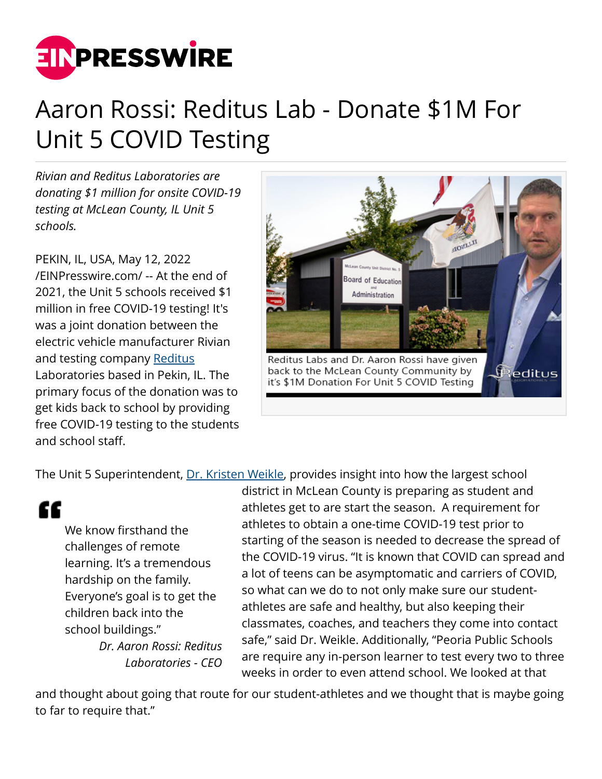

## Aaron Rossi: Reditus Lab - Donate \$1M For Unit 5 COVID Testing

*Rivian and Reditus Laboratories are donating \$1 million for onsite COVID-19 testing at McLean County, IL Unit 5 schools.*

PEKIN, IL, USA, May 12, 2022 [/EINPresswire.com/](http://www.einpresswire.com) -- At the end of 2021, the Unit 5 schools received \$1 million in free COVID-19 testing! It's was a joint donation between the electric vehicle manufacturer Rivian and testing company [Reditus](https://www.redituslabs.com/) Laboratories based in Pekin, IL. The primary focus of the donation was to get kids back to school by providing free COVID-19 testing to the students and school staff.



The Unit 5 Superintendent, [Dr. Kristen Weikle,](https://www.wjbc.com/2021/02/11/covid-19-testing-for-unit-5-student-athletes/) provides insight into how the largest school

££

We know firsthand the challenges of remote learning. It's a tremendous hardship on the family. Everyone's goal is to get the children back into the school buildings."

> *Dr. Aaron Rossi: Reditus Laboratories - CEO*

district in McLean County is preparing as student and athletes get to are start the season. A requirement for athletes to obtain a one-time COVID-19 test prior to starting of the season is needed to decrease the spread of the COVID-19 virus. "It is known that COVID can spread and a lot of teens can be asymptomatic and carriers of COVID, so what can we do to not only make sure our studentathletes are safe and healthy, but also keeping their classmates, coaches, and teachers they come into contact safe," said Dr. Weikle. Additionally, "Peoria Public Schools are require any in-person learner to test every two to three weeks in order to even attend school. We looked at that

and thought about going that route for our student-athletes and we thought that is maybe going to far to require that."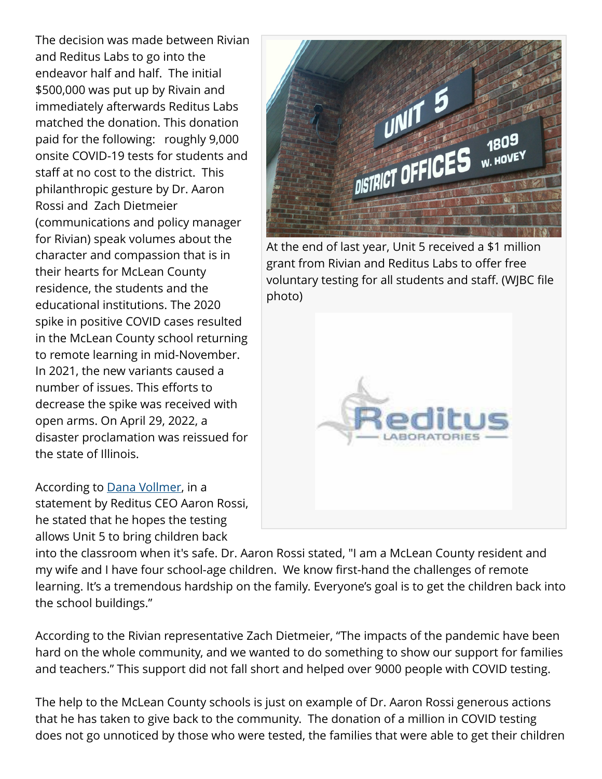The decision was made between Rivian and Reditus Labs to go into the endeavor half and half. The initial \$500,000 was put up by Rivain and immediately afterwards Reditus Labs matched the donation. This donation paid for the following: roughly 9,000 onsite COVID-19 tests for students and staff at no cost to the district. This philanthropic gesture by Dr. Aaron Rossi and Zach Dietmeier (communications and policy manager for Rivian) speak volumes about the character and compassion that is in their hearts for McLean County residence, the students and the educational institutions. The 2020 spike in positive COVID cases resulted in the McLean County school returning to remote learning in mid-November. In 2021, the new variants caused a number of issues. This efforts to decrease the spike was received with open arms. On April 29, 2022, a disaster proclamation was reissued for the state of Illinois.

According to [Dana Vollmer](https://www.wglt.org/news/2020-12-23/rivian-reditus-labs-donate-1m-for-unit-5-covid-testing), in a statement by Reditus CEO Aaron Rossi, he stated that he hopes the testing allows Unit 5 to bring children back



At the end of last year, Unit 5 received a \$1 million grant from Rivian and Reditus Labs to offer free voluntary testing for all students and staff. (WJBC file photo)



into the classroom when it's safe. Dr. Aaron Rossi stated, "I am a McLean County resident and my wife and I have four school-age children. We know first-hand the challenges of remote learning. It's a tremendous hardship on the family. Everyone's goal is to get the children back into the school buildings."

According to the Rivian representative Zach Dietmeier, "The impacts of the pandemic have been hard on the whole community, and we wanted to do something to show our support for families and teachers." This support did not fall short and helped over 9000 people with COVID testing.

The help to the McLean County schools is just on example of Dr. Aaron Rossi generous actions that he has taken to give back to the community. The donation of a million in COVID testing does not go unnoticed by those who were tested, the families that were able to get their children